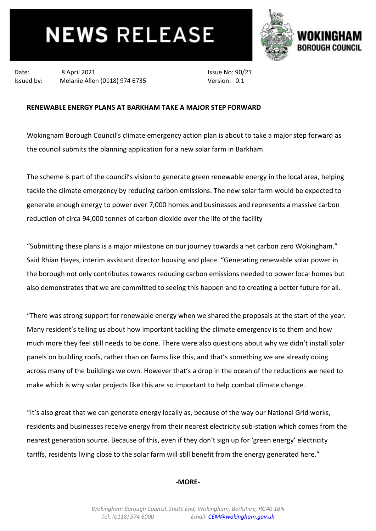# **NEWS RELEASE**



Date: 8 April 2021 Issued by: Melanie Allen (0118) 974 6735

Issue No: 90/21 Version: 0.1

## **RENEWABLE ENERGY PLANS AT BARKHAM TAKE A MAJOR STEP FORWARD**

Wokingham Borough Council's climate emergency action plan is about to take a major step forward as the council submits the planning application for a new solar farm in Barkham.

The scheme is part of the council's vision to generate green renewable energy in the local area, helping tackle the climate emergency by reducing carbon emissions. The new solar farm would be expected to generate enough energy to power over 7,000 homes and businesses and represents a massive carbon reduction of circa 94,000 tonnes of carbon dioxide over the life of the facility

"Submitting these plans is a major milestone on our journey towards a net carbon zero Wokingham." Said Rhian Hayes, interim assistant director housing and place. "Generating renewable solar power in the borough not only contributes towards reducing carbon emissions needed to power local homes but also demonstrates that we are committed to seeing this happen and to creating a better future for all.

"There was strong support for renewable energy when we shared the proposals at the start of the year. Many resident's telling us about how important tackling the climate emergency is to them and how much more they feel still needs to be done. There were also questions about why we didn't install solar panels on building roofs, rather than on farms like this, and that's something we are already doing across many of the buildings we own. However that's a drop in the ocean of the reductions we need to make which is why solar projects like this are so important to help combat climate change.

"It's also great that we can generate energy locally as, because of the way our National Grid works, residents and businesses receive energy from their nearest electricity sub-station which comes from the nearest generation source. Because of this, even if they don't sign up for 'green energy' electricity tariffs, residents living close to the solar farm will still benefit from the energy generated here."

### **-MORE-**